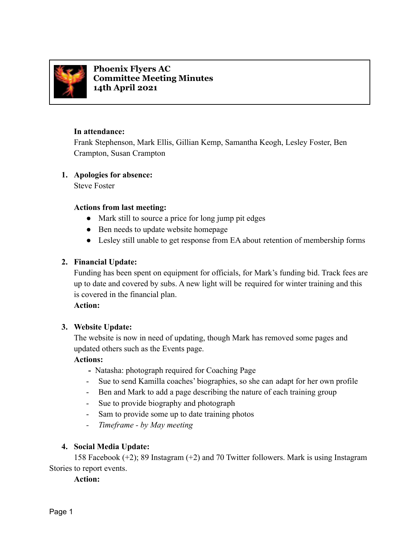

**Phoenix Flyers AC Committee Meeting Minutes 14th April 2021**

### **In attendance:**

Frank Stephenson, Mark Ellis, Gillian Kemp, Samantha Keogh, Lesley Foster, Ben Crampton, Susan Crampton

### **1. Apologies for absence:**

Steve Foster

### **Actions from last meeting:**

- Mark still to source a price for long jump pit edges
- Ben needs to update website homepage
- Lesley still unable to get response from EA about retention of membership forms

# **2. Financial Update:**

Funding has been spent on equipment for officials, for Mark's funding bid. Track fees are up to date and covered by subs. A new light will be required for winter training and this is covered in the financial plan.

### **Action:**

# **3. Website Update:**

The website is now in need of updating, though Mark has removed some pages and updated others such as the Events page.

# **Actions:**

- **-** Natasha: photograph required for Coaching Page
- Sue to send Kamilla coaches' biographies, so she can adapt for her own profile
- Ben and Mark to add a page describing the nature of each training group
- Sue to provide biography and photograph
- Sam to provide some up to date training photos
- *- Timeframe by May meeting*

# **4. Social Media Update:**

158 Facebook (+2); 89 Instagram (+2) and 70 Twitter followers. Mark is using Instagram Stories to report events.

# **Action:**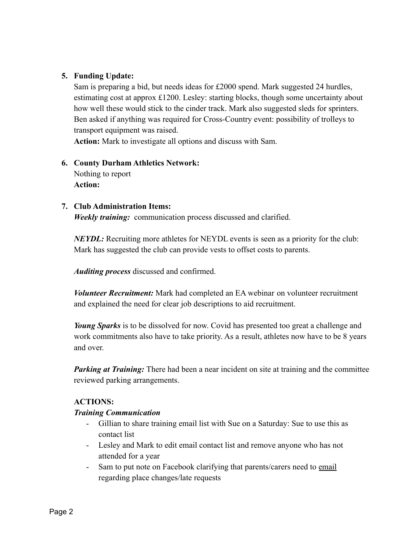# **5. Funding Update:**

Sam is preparing a bid, but needs ideas for £2000 spend. Mark suggested 24 hurdles, estimating cost at approx £1200. Lesley: starting blocks, though some uncertainty about how well these would stick to the cinder track. Mark also suggested sleds for sprinters. Ben asked if anything was required for Cross-Country event: possibility of trolleys to transport equipment was raised.

**Action:** Mark to investigate all options and discuss with Sam.

# **6. County Durham Athletics Network:**

Nothing to report **Action:**

### **7. Club Administration Items:**

*Weekly training:* communication process discussed and clarified.

*NEYDL:* Recruiting more athletes for NEYDL events is seen as a priority for the club: Mark has suggested the club can provide vests to offset costs to parents.

*Auditing process* discussed and confirmed.

*Volunteer Recruitment:* Mark had completed an EA webinar on volunteer recruitment and explained the need for clear job descriptions to aid recruitment.

*Young Sparks* is to be dissolved for now. Covid has presented too great a challenge and work commitments also have to take priority. As a result, athletes now have to be 8 years and over.

*Parking at Training:* There had been a near incident on site at training and the committee reviewed parking arrangements.

### **ACTIONS:**

### *Training Communication*

- Gillian to share training email list with Sue on a Saturday: Sue to use this as contact list
- Lesley and Mark to edit email contact list and remove anyone who has not attended for a year
- Sam to put note on Facebook clarifying that parents/carers need to email regarding place changes/late requests